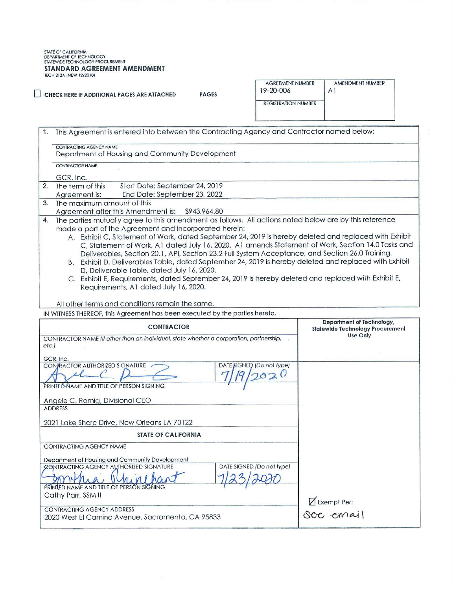STATE OF CALIFORNIA<br>DEPARTMENT OF TECHNOLOGY<br>STATEWIDE TECHNOLOGY PROCUREMENT **STANDARD AGREEMENT AMENDMENT** TECH 213A {NEW 12/2018)

□ **CHECK HERE IF ADDlllONAL PAGES ARE ATTACHED PAGES** 

| <b>AGREEMENT NUMBER</b><br>19-20-006 | AMENDMENT NUMBER |
|--------------------------------------|------------------|
| REGISTRATION NIJMBER                 |                  |

| 1.   | This Agreement is entered into between the Contracting Agency and Contractor named below:                                                    |                                                                      |
|------|----------------------------------------------------------------------------------------------------------------------------------------------|----------------------------------------------------------------------|
|      | CONTRACTING AGENCY NAME                                                                                                                      |                                                                      |
|      | Department of Housing and Community Development                                                                                              |                                                                      |
|      | <b>CONTRACTOR NAME</b>                                                                                                                       |                                                                      |
|      | GCR, Inc.                                                                                                                                    |                                                                      |
| 2.   | The term of this<br>Start Date: September 24, 2019                                                                                           |                                                                      |
|      | End Date: September 23, 2022<br>Agreement is:                                                                                                |                                                                      |
| 3.   | The maximum amount of this<br>Agreement after this Amendment is:<br>\$943,964.80                                                             |                                                                      |
| 4.   | The parties mutually agree to this amendment as follows. All actions noted below are by this reference                                       |                                                                      |
|      | made a part of the Agreement and incorporated herein:                                                                                        |                                                                      |
|      | A. Exhibit C, Statement of Work, dated September 24, 2019 is hereby deleted and replaced with Exhibit                                        |                                                                      |
|      | C, Statement of Work, A1 dated July 16, 2020. A1 amends Statement of Work, Section 14.0 Tasks and                                            |                                                                      |
|      | Deliverables, Section 20.1, API, Section 23.2 Full System Acceptance, and Section 26.0 Training.                                             |                                                                      |
|      | B. Exhibit D, Deliverables Table, dated September 24, 2019 is hereby deleted and replaced with Exhibit                                       |                                                                      |
|      | D, Deliverable Table, dated July 16, 2020.                                                                                                   |                                                                      |
|      | C. Exhibit E, Requirements, dated September 24, 2019 is hereby deleted and replaced with Exhibit E,<br>Requirements, A1 dated July 16, 2020. |                                                                      |
|      |                                                                                                                                              |                                                                      |
|      | All other terms and conditions remain the same.                                                                                              |                                                                      |
|      | IN WITNESS THEREOF, this Agreement has been executed by the parties hereto.                                                                  |                                                                      |
|      | <b>CONTRACTOR</b>                                                                                                                            | Department of Technology,<br><b>Statewide Technology Procurement</b> |
|      | CONTRACTOR NAME (If other than an individual, state whether a corporation, partnership,                                                      | Use Only                                                             |
| etc. |                                                                                                                                              |                                                                      |
|      |                                                                                                                                              |                                                                      |
|      | GCR, Inc.<br>DATE BIGNED (Do not type)<br>CONTRACTOR AUTHORIZED SIGNATURE                                                                    |                                                                      |
|      | 020                                                                                                                                          |                                                                      |
|      | PRINTED NAME AND TITLE OF PERSON SIGNING                                                                                                     |                                                                      |
|      |                                                                                                                                              |                                                                      |
|      | Angele C. Romig, Divisional CEO                                                                                                              |                                                                      |
|      | <b>ADDRESS</b>                                                                                                                               |                                                                      |
|      | 2021 Lake Shore Drive, New Orleans LA 70122                                                                                                  |                                                                      |
|      | <b>STATE OF CALIFORNIA</b>                                                                                                                   |                                                                      |
|      | CONTRACTING AGENCY NAME                                                                                                                      |                                                                      |
|      | Department of Housing and Community Development                                                                                              |                                                                      |
|      | DATE SIGNED (Do not type)<br>CONTRACTING AGENCY AUTHORIZED SIGNATURE                                                                         |                                                                      |

PRINTED NAME AND TITLE OF PERSON SIGNING  $DAT$ Cathy Parr, SSM II **0** Exempt Per: CONTRACTING AGENCY ADDRESS Sec email 2020 West El Camino Avenue, Sacramento, CA 95833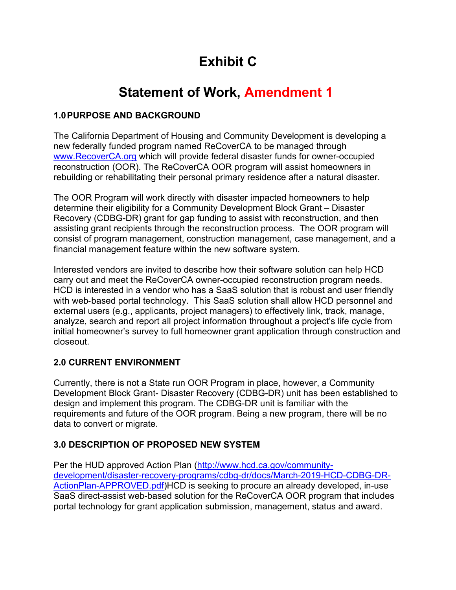# **Exhibit C**

# **Statement of Work, Amendment 1**

## **1.0PURPOSE AND BACKGROUND**

The California Department of Housing and Community Development is developing a new federally funded program named ReCoverCA to be managed through [www.RecoverCA.org](http://www.recoverca.org/) which will provide federal disaster funds for owner-occupied reconstruction (OOR). The ReCoverCA OOR program will assist homeowners in rebuilding or rehabilitating their personal primary residence after a natural disaster.

The OOR Program will work directly with disaster impacted homeowners to help determine their eligibility for a Community Development Block Grant – Disaster Recovery (CDBG-DR) grant for gap funding to assist with reconstruction, and then assisting grant recipients through the reconstruction process. The OOR program will consist of program management, construction management, case management, and a financial management feature within the new software system.

Interested vendors are invited to describe how their software solution can help HCD carry out and meet the ReCoverCA owner-occupied reconstruction program needs. HCD is interested in a vendor who has a SaaS solution that is robust and user friendly with web-based portal technology. This SaaS solution shall allow HCD personnel and external users (e.g., applicants, project managers) to effectively link, track, manage, analyze, search and report all project information throughout a project's life cycle from initial homeowner's survey to full homeowner grant application through construction and closeout.

# **2.0 CURRENT ENVIRONMENT**

Currently, there is not a State run OOR Program in place, however, a Community Development Block Grant- Disaster Recovery (CDBG-DR) unit has been established to design and implement this program. The CDBG-DR unit is familiar with the requirements and future of the OOR program. Being a new program, there will be no data to convert or migrate.

# **3.0 DESCRIPTION OF PROPOSED NEW SYSTEM**

Per the HUD approved Action Plan [\(http://www.hcd.ca.gov/community](http://www.hcd.ca.gov/community-development/disaster-recovery-programs/cdbg-dr/docs/March-2019-HCD-CDBG-DR-ActionPlan-APPROVED.pdf)[development/disaster-recovery-programs/cdbg-dr/docs/March-2019-HCD-CDBG-DR-](http://www.hcd.ca.gov/community-development/disaster-recovery-programs/cdbg-dr/docs/March-2019-HCD-CDBG-DR-ActionPlan-APPROVED.pdf)[ActionPlan-APPROVED.pdf\)](http://www.hcd.ca.gov/community-development/disaster-recovery-programs/cdbg-dr/docs/March-2019-HCD-CDBG-DR-ActionPlan-APPROVED.pdf)HCD is seeking to procure an already developed, in-use SaaS direct-assist web-based solution for the ReCoverCA OOR program that includes portal technology for grant application submission, management, status and award.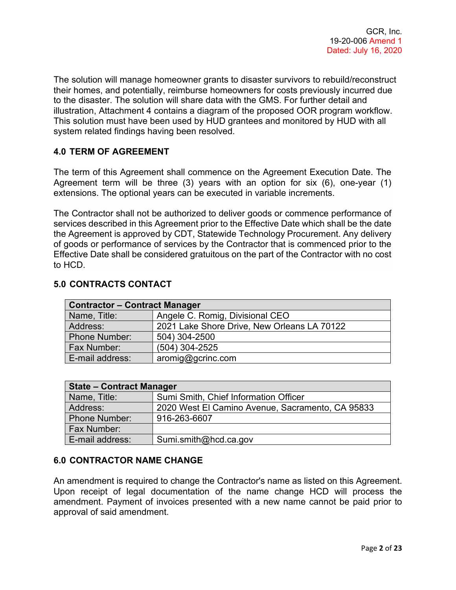The solution will manage homeowner grants to disaster survivors to rebuild/reconstruct their homes, and potentially, reimburse homeowners for costs previously incurred due to the disaster. The solution will share data with the GMS. For further detail and illustration, Attachment 4 contains a diagram of the proposed OOR program workflow. This solution must have been used by HUD grantees and monitored by HUD with all system related findings having been resolved.

## **4.0 TERM OF AGREEMENT**

The term of this Agreement shall commence on the Agreement Execution Date. The Agreement term will be three (3) years with an option for six (6), one-year (1) extensions. The optional years can be executed in variable increments.

The Contractor shall not be authorized to deliver goods or commence performance of services described in this Agreement prior to the Effective Date which shall be the date the Agreement is approved by CDT, Statewide Technology Procurement. Any delivery of goods or performance of services by the Contractor that is commenced prior to the Effective Date shall be considered gratuitous on the part of the Contractor with no cost to HCD.

| <b>Contractor – Contract Manager</b> |                                             |  |
|--------------------------------------|---------------------------------------------|--|
| Name, Title:                         | Angele C. Romig, Divisional CEO             |  |
| Address:                             | 2021 Lake Shore Drive, New Orleans LA 70122 |  |
| <b>Phone Number:</b>                 | 504) 304-2500                               |  |
| Fax Number:                          | $(504)$ 304-2525                            |  |
| E-mail address:                      | aromig@gcrinc.com                           |  |

## **5.0 CONTRACTS CONTACT**

| <b>State - Contract Manager</b> |                                                  |  |  |
|---------------------------------|--------------------------------------------------|--|--|
| Name, Title:                    | Sumi Smith, Chief Information Officer            |  |  |
| Address:                        | 2020 West El Camino Avenue, Sacramento, CA 95833 |  |  |
| Phone Number:                   | 916-263-6607                                     |  |  |
| <b>Fax Number:</b>              |                                                  |  |  |
| E-mail address:                 | Sumi.smith@hcd.ca.gov                            |  |  |

#### **6.0 CONTRACTOR NAME CHANGE**

An amendment is required to change the Contractor's name as listed on this Agreement. Upon receipt of legal documentation of the name change HCD will process the amendment. Payment of invoices presented with a new name cannot be paid prior to approval of said amendment.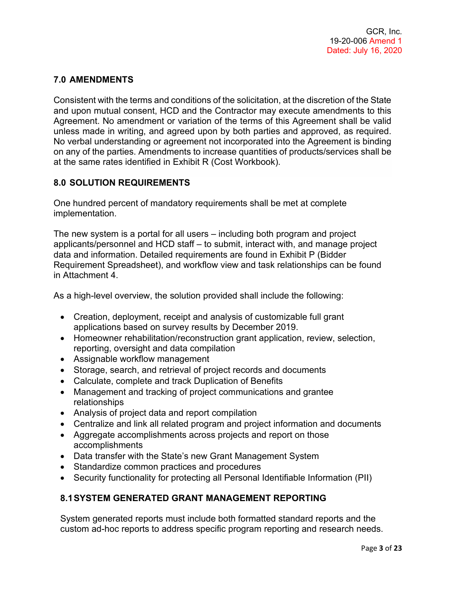## **7.0 AMENDMENTS**

Consistent with the terms and conditions of the solicitation, at the discretion of the State and upon mutual consent, HCD and the Contractor may execute amendments to this Agreement. No amendment or variation of the terms of this Agreement shall be valid unless made in writing, and agreed upon by both parties and approved, as required. No verbal understanding or agreement not incorporated into the Agreement is binding on any of the parties. Amendments to increase quantities of products/services shall be at the same rates identified in Exhibit R (Cost Workbook).

## **8.0 SOLUTION REQUIREMENTS**

One hundred percent of mandatory requirements shall be met at complete implementation.

The new system is a portal for all users – including both program and project applicants/personnel and HCD staff – to submit, interact with, and manage project data and information. Detailed requirements are found in Exhibit P (Bidder Requirement Spreadsheet), and workflow view and task relationships can be found in Attachment 4.

As a high-level overview, the solution provided shall include the following:

- Creation, deployment, receipt and analysis of customizable full grant applications based on survey results by December 2019.
- Homeowner rehabilitation/reconstruction grant application, review, selection, reporting, oversight and data compilation
- Assignable workflow management
- Storage, search, and retrieval of project records and documents
- Calculate, complete and track Duplication of Benefits
- Management and tracking of project communications and grantee relationships
- Analysis of project data and report compilation
- Centralize and link all related program and project information and documents
- Aggregate accomplishments across projects and report on those accomplishments
- Data transfer with the State's new Grant Management System
- Standardize common practices and procedures
- Security functionality for protecting all Personal Identifiable Information (PII)

#### **8.1SYSTEM GENERATED GRANT MANAGEMENT REPORTING**

System generated reports must include both formatted standard reports and the custom ad-hoc reports to address specific program reporting and research needs.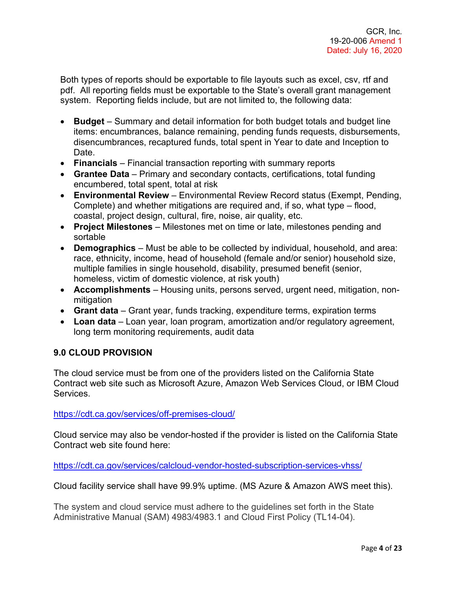Both types of reports should be exportable to file layouts such as excel, csv, rtf and pdf. All reporting fields must be exportable to the State's overall grant management system. Reporting fields include, but are not limited to, the following data:

- **Budget**  Summary and detail information for both budget totals and budget line items: encumbrances, balance remaining, pending funds requests, disbursements, disencumbrances, recaptured funds, total spent in Year to date and Inception to Date.
- **Financials**  Financial transaction reporting with summary reports
- **Grantee Data** Primary and secondary contacts, certifications, total funding encumbered, total spent, total at risk
- **Environmental Review** Environmental Review Record status (Exempt, Pending, Complete) and whether mitigations are required and, if so, what type – flood, coastal, project design, cultural, fire, noise, air quality, etc.
- **Project Milestones** Milestones met on time or late, milestones pending and sortable
- **Demographics**  Must be able to be collected by individual, household, and area: race, ethnicity, income, head of household (female and/or senior) household size, multiple families in single household, disability, presumed benefit (senior, homeless, victim of domestic violence, at risk youth)
- **Accomplishments** Housing units, persons served, urgent need, mitigation, nonmitigation
- **Grant data** Grant year, funds tracking, expenditure terms, expiration terms
- **Loan data** Loan year, loan program, amortization and/or regulatory agreement, long term monitoring requirements, audit data

## **9.0 CLOUD PROVISION**

The cloud service must be from one of the providers listed on the California State Contract web site such as Microsoft Azure, Amazon Web Services Cloud, or IBM Cloud Services.

<https://cdt.ca.gov/services/off-premises-cloud/>

Cloud service may also be vendor-hosted if the provider is listed on the California State Contract web site found here:

<https://cdt.ca.gov/services/calcloud-vendor-hosted-subscription-services-vhss/>

Cloud facility service shall have 99.9% uptime. (MS Azure & Amazon AWS meet this).

The system and cloud service must adhere to the guidelines set forth in the State Administrative Manual (SAM) 4983/4983.1 and Cloud First Policy (TL14-04).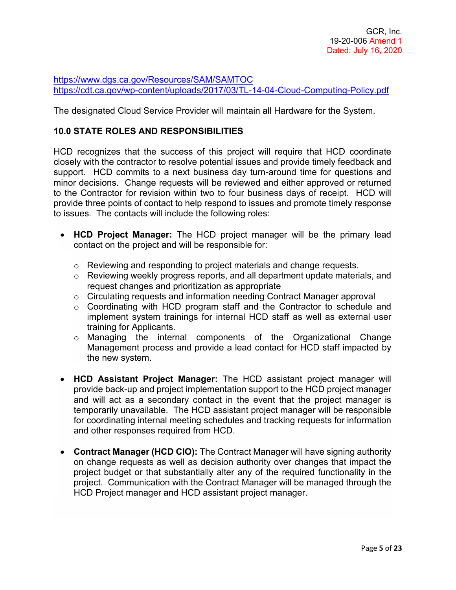<https://www.dgs.ca.gov/Resources/SAM/SAMTOC> <https://cdt.ca.gov/wp-content/uploads/2017/03/TL-14-04-Cloud-Computing-Policy.pdf>

The designated Cloud Service Provider will maintain all Hardware for the System.

#### **10.0 STATE ROLES AND RESPONSIBILITIES**

HCD recognizes that the success of this project will require that HCD coordinate closely with the contractor to resolve potential issues and provide timely feedback and support. HCD commits to a next business day turn-around time for questions and minor decisions. Change requests will be reviewed and either approved or returned to the Contractor for revision within two to four business days of receipt. HCD will provide three points of contact to help respond to issues and promote timely response to issues. The contacts will include the following roles:

- **HCD Project Manager:** The HCD project manager will be the primary lead contact on the project and will be responsible for:
	- o Reviewing and responding to project materials and change requests.
	- o Reviewing weekly progress reports, and all department update materials, and request changes and prioritization as appropriate
	- $\circ$  Circulating requests and information needing Contract Manager approval
	- o Coordinating with HCD program staff and the Contractor to schedule and implement system trainings for internal HCD staff as well as external user training for Applicants.
	- o Managing the internal components of the Organizational Change Management process and provide a lead contact for HCD staff impacted by the new system.
- **HCD Assistant Project Manager:** The HCD assistant project manager will provide back-up and project implementation support to the HCD project manager and will act as a secondary contact in the event that the project manager is temporarily unavailable. The HCD assistant project manager will be responsible for coordinating internal meeting schedules and tracking requests for information and other responses required from HCD.
- **Contract Manager (HCD CIO):** The Contract Manager will have signing authority on change requests as well as decision authority over changes that impact the project budget or that substantially alter any of the required functionality in the project. Communication with the Contract Manager will be managed through the HCD Project manager and HCD assistant project manager.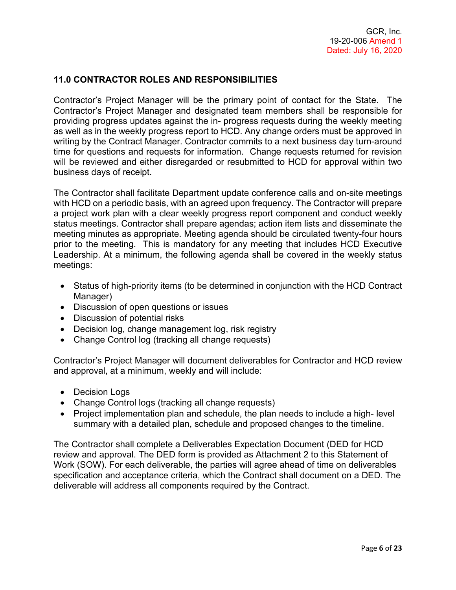## **11.0 CONTRACTOR ROLES AND RESPONSIBILITIES**

Contractor's Project Manager will be the primary point of contact for the State. The Contractor's Project Manager and designated team members shall be responsible for providing progress updates against the in- progress requests during the weekly meeting as well as in the weekly progress report to HCD. Any change orders must be approved in writing by the Contract Manager. Contractor commits to a next business day turn-around time for questions and requests for information. Change requests returned for revision will be reviewed and either disregarded or resubmitted to HCD for approval within two business days of receipt.

The Contractor shall facilitate Department update conference calls and on-site meetings with HCD on a periodic basis, with an agreed upon frequency. The Contractor will prepare a project work plan with a clear weekly progress report component and conduct weekly status meetings. Contractor shall prepare agendas; action item lists and disseminate the meeting minutes as appropriate. Meeting agenda should be circulated twenty-four hours prior to the meeting. This is mandatory for any meeting that includes HCD Executive Leadership. At a minimum, the following agenda shall be covered in the weekly status meetings:

- Status of high-priority items (to be determined in conjunction with the HCD Contract Manager)
- Discussion of open questions or issues
- Discussion of potential risks
- Decision log, change management log, risk registry
- Change Control log (tracking all change requests)

Contractor's Project Manager will document deliverables for Contractor and HCD review and approval, at a minimum, weekly and will include:

- Decision Logs
- Change Control logs (tracking all change requests)
- Project implementation plan and schedule, the plan needs to include a high- level summary with a detailed plan, schedule and proposed changes to the timeline.

The Contractor shall complete a Deliverables Expectation Document (DED for HCD review and approval. The DED form is provided as Attachment 2 to this Statement of Work (SOW). For each deliverable, the parties will agree ahead of time on deliverables specification and acceptance criteria, which the Contract shall document on a DED. The deliverable will address all components required by the Contract.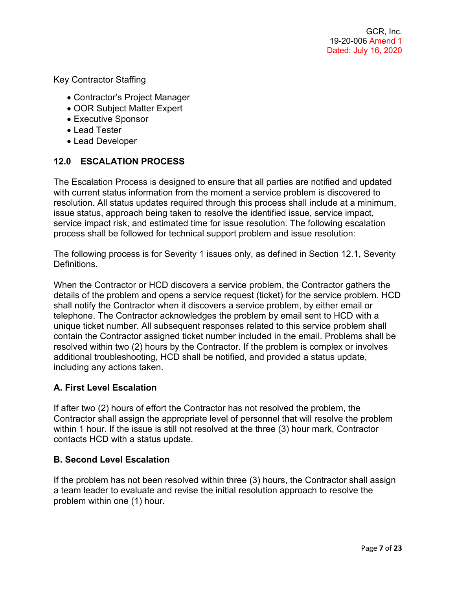Key Contractor Staffing

- Contractor's Project Manager
- OOR Subject Matter Expert
- Executive Sponsor
- Lead Tester
- Lead Developer

## **12.0 ESCALATION PROCESS**

The Escalation Process is designed to ensure that all parties are notified and updated with current status information from the moment a service problem is discovered to resolution. All status updates required through this process shall include at a minimum, issue status, approach being taken to resolve the identified issue, service impact, service impact risk, and estimated time for issue resolution. The following escalation process shall be followed for technical support problem and issue resolution:

The following process is for Severity 1 issues only, as defined in Section 12.1, Severity **Definitions** 

When the Contractor or HCD discovers a service problem, the Contractor gathers the details of the problem and opens a service request (ticket) for the service problem. HCD shall notify the Contractor when it discovers a service problem, by either email or telephone. The Contractor acknowledges the problem by email sent to HCD with a unique ticket number. All subsequent responses related to this service problem shall contain the Contractor assigned ticket number included in the email. Problems shall be resolved within two (2) hours by the Contractor. If the problem is complex or involves additional troubleshooting, HCD shall be notified, and provided a status update, including any actions taken.

#### **A. First Level Escalation**

If after two (2) hours of effort the Contractor has not resolved the problem, the Contractor shall assign the appropriate level of personnel that will resolve the problem within 1 hour. If the issue is still not resolved at the three (3) hour mark, Contractor contacts HCD with a status update.

#### **B. Second Level Escalation**

If the problem has not been resolved within three (3) hours, the Contractor shall assign a team leader to evaluate and revise the initial resolution approach to resolve the problem within one (1) hour.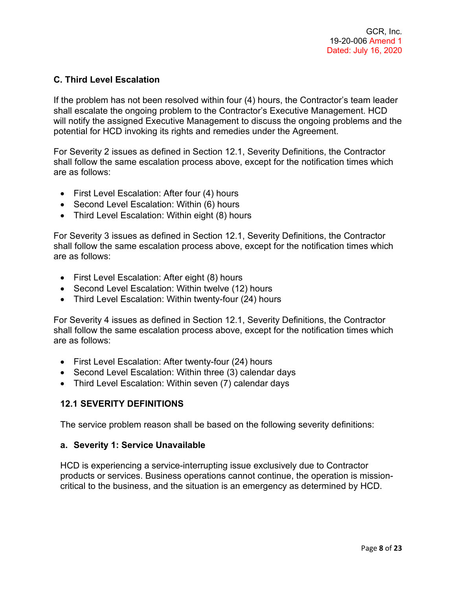## **C. Third Level Escalation**

If the problem has not been resolved within four (4) hours, the Contractor's team leader shall escalate the ongoing problem to the Contractor's Executive Management. HCD will notify the assigned Executive Management to discuss the ongoing problems and the potential for HCD invoking its rights and remedies under the Agreement.

For Severity 2 issues as defined in Section 12.1, Severity Definitions, the Contractor shall follow the same escalation process above, except for the notification times which are as follows:

- First Level Escalation: After four (4) hours
- Second Level Escalation: Within (6) hours
- Third Level Escalation: Within eight (8) hours

For Severity 3 issues as defined in Section 12.1, Severity Definitions, the Contractor shall follow the same escalation process above, except for the notification times which are as follows:

- First Level Escalation: After eight (8) hours
- Second Level Escalation: Within twelve (12) hours
- Third Level Escalation: Within twenty-four (24) hours

For Severity 4 issues as defined in Section 12.1, Severity Definitions, the Contractor shall follow the same escalation process above, except for the notification times which are as follows:

- First Level Escalation: After twenty-four (24) hours
- Second Level Escalation: Within three (3) calendar days
- Third Level Escalation: Within seven (7) calendar days

#### **12.1 SEVERITY DEFINITIONS**

The service problem reason shall be based on the following severity definitions:

#### **a. Severity 1: Service Unavailable**

HCD is experiencing a service-interrupting issue exclusively due to Contractor products or services. Business operations cannot continue, the operation is missioncritical to the business, and the situation is an emergency as determined by HCD.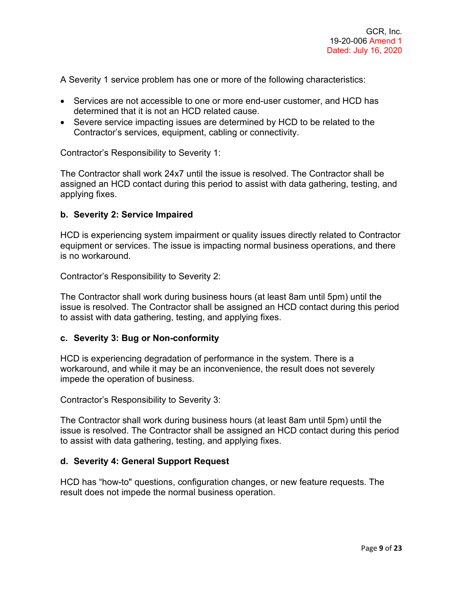A Severity 1 service problem has one or more of the following characteristics:

- Services are not accessible to one or more end-user customer, and HCD has determined that it is not an HCD related cause.
- Severe service impacting issues are determined by HCD to be related to the Contractor's services, equipment, cabling or connectivity.

Contractor's Responsibility to Severity 1:

The Contractor shall work 24x7 until the issue is resolved. The Contractor shall be assigned an HCD contact during this period to assist with data gathering, testing, and applying fixes.

#### **b. Severity 2: Service Impaired**

HCD is experiencing system impairment or quality issues directly related to Contractor equipment or services. The issue is impacting normal business operations, and there is no workaround.

Contractor's Responsibility to Severity 2:

The Contractor shall work during business hours (at least 8am until 5pm) until the issue is resolved. The Contractor shall be assigned an HCD contact during this period to assist with data gathering, testing, and applying fixes.

#### **c. Severity 3: Bug or Non-conformity**

HCD is experiencing degradation of performance in the system. There is a workaround, and while it may be an inconvenience, the result does not severely impede the operation of business.

Contractor's Responsibility to Severity 3:

The Contractor shall work during business hours (at least 8am until 5pm) until the issue is resolved. The Contractor shall be assigned an HCD contact during this period to assist with data gathering, testing, and applying fixes.

#### **d. Severity 4: General Support Request**

HCD has "how-to" questions, configuration changes, or new feature requests. The result does not impede the normal business operation.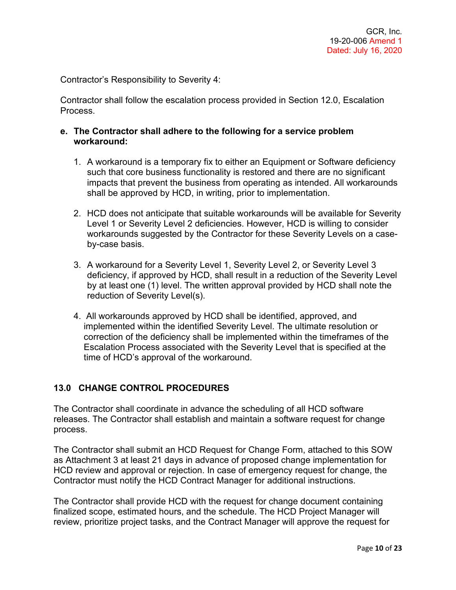Contractor's Responsibility to Severity 4:

Contractor shall follow the escalation process provided in Section 12.0, Escalation Process.

#### **e. The Contractor shall adhere to the following for a service problem workaround:**

- 1. A workaround is a temporary fix to either an Equipment or Software deficiency such that core business functionality is restored and there are no significant impacts that prevent the business from operating as intended. All workarounds shall be approved by HCD, in writing, prior to implementation.
- 2. HCD does not anticipate that suitable workarounds will be available for Severity Level 1 or Severity Level 2 deficiencies. However, HCD is willing to consider workarounds suggested by the Contractor for these Severity Levels on a caseby-case basis.
- 3. A workaround for a Severity Level 1, Severity Level 2, or Severity Level 3 deficiency, if approved by HCD, shall result in a reduction of the Severity Level by at least one (1) level. The written approval provided by HCD shall note the reduction of Severity Level(s).
- 4. All workarounds approved by HCD shall be identified, approved, and implemented within the identified Severity Level. The ultimate resolution or correction of the deficiency shall be implemented within the timeframes of the Escalation Process associated with the Severity Level that is specified at the time of HCD's approval of the workaround.

#### **13.0 CHANGE CONTROL PROCEDURES**

The Contractor shall coordinate in advance the scheduling of all HCD software releases. The Contractor shall establish and maintain a software request for change process.

The Contractor shall submit an HCD Request for Change Form, attached to this SOW as Attachment 3 at least 21 days in advance of proposed change implementation for HCD review and approval or rejection. In case of emergency request for change, the Contractor must notify the HCD Contract Manager for additional instructions.

The Contractor shall provide HCD with the request for change document containing finalized scope, estimated hours, and the schedule. The HCD Project Manager will review, prioritize project tasks, and the Contract Manager will approve the request for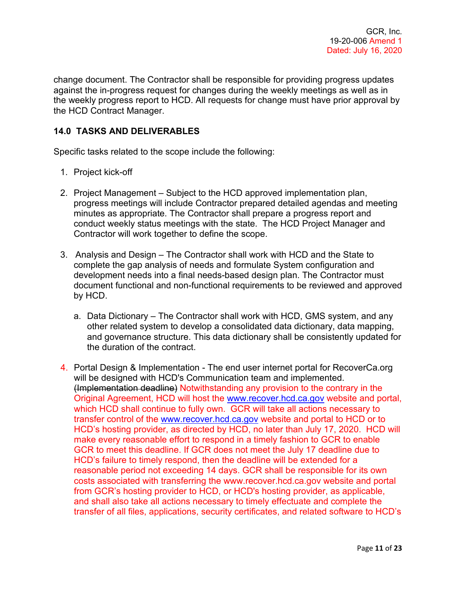change document. The Contractor shall be responsible for providing progress updates against the in-progress request for changes during the weekly meetings as well as in the weekly progress report to HCD. All requests for change must have prior approval by the HCD Contract Manager.

## **14.0 TASKS AND DELIVERABLES**

Specific tasks related to the scope include the following:

- 1. Project kick-off
- 2. Project Management Subject to the HCD approved implementation plan, progress meetings will include Contractor prepared detailed agendas and meeting minutes as appropriate. The Contractor shall prepare a progress report and conduct weekly status meetings with the state. The HCD Project Manager and Contractor will work together to define the scope.
- 3. Analysis and Design The Contractor shall work with HCD and the State to complete the gap analysis of needs and formulate System configuration and development needs into a final needs-based design plan. The Contractor must document functional and non-functional requirements to be reviewed and approved by HCD.
	- a. Data Dictionary The Contractor shall work with HCD, GMS system, and any other related system to develop a consolidated data dictionary, data mapping, and governance structure. This data dictionary shall be consistently updated for the duration of the contract.
- 4. Portal Design & Implementation The end user internet portal for RecoverCa.org will be designed with HCD's Communication team and implemented. (Implementation deadline) Notwithstanding any provision to the contrary in the Original Agreement, HCD will host the [www.recover.hcd.ca.gov](http://www.recover.hcd.ca.gov/) website and portal, which HCD shall continue to fully own. GCR will take all actions necessary to transfer control of the [www.recover.hcd.ca.gov](http://www.recover.hcd.ca.gov/) website and portal to HCD or to HCD's hosting provider, as directed by HCD, no later than July 17, 2020. HCD will make every reasonable effort to respond in a timely fashion to GCR to enable GCR to meet this deadline. If GCR does not meet the July 17 deadline due to HCD's failure to timely respond, then the deadline will be extended for a reasonable period not exceeding 14 days. GCR shall be responsible for its own costs associated with transferring the www.recover.hcd.ca.gov website and portal from GCR's hosting provider to HCD, or HCD's hosting provider, as applicable, and shall also take all actions necessary to timely effectuate and complete the transfer of all files, applications, security certificates, and related software to HCD's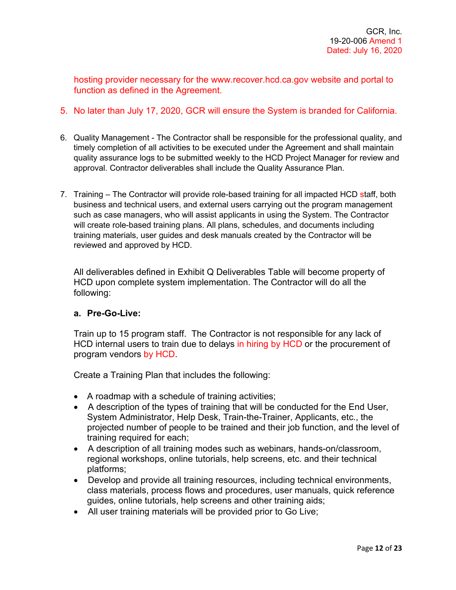hosting provider necessary for the www.recover.hcd.ca.gov website and portal to function as defined in the Agreement.

- 5. No later than July 17, 2020, GCR will ensure the System is branded for California.
- 6. Quality Management The Contractor shall be responsible for the professional quality, and timely completion of all activities to be executed under the Agreement and shall maintain quality assurance logs to be submitted weekly to the HCD Project Manager for review and approval. Contractor deliverables shall include the Quality Assurance Plan.
- 7. Training The Contractor will provide role-based training for all impacted HCD staff, both business and technical users, and external users carrying out the program management such as case managers, who will assist applicants in using the System. The Contractor will create role-based training plans. All plans, schedules, and documents including training materials, user guides and desk manuals created by the Contractor will be reviewed and approved by HCD.

All deliverables defined in Exhibit Q Deliverables Table will become property of HCD upon complete system implementation. The Contractor will do all the following:

#### **a. Pre-Go-Live:**

Train up to 15 program staff. The Contractor is not responsible for any lack of HCD internal users to train due to delays in hiring by HCD or the procurement of program vendors by HCD.

Create a Training Plan that includes the following:

- A roadmap with a schedule of training activities;
- A description of the types of training that will be conducted for the End User, System Administrator, Help Desk, Train-the-Trainer, Applicants, etc., the projected number of people to be trained and their job function, and the level of training required for each;
- A description of all training modes such as webinars, hands-on/classroom, regional workshops, online tutorials, help screens, etc. and their technical platforms;
- Develop and provide all training resources, including technical environments, class materials, process flows and procedures, user manuals, quick reference guides, online tutorials, help screens and other training aids;
- All user training materials will be provided prior to Go Live;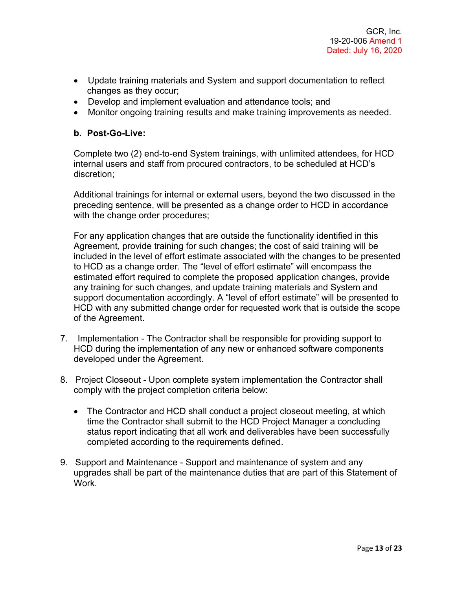- Update training materials and System and support documentation to reflect changes as they occur;
- Develop and implement evaluation and attendance tools; and
- Monitor ongoing training results and make training improvements as needed.

#### **b. Post-Go-Live:**

Complete two (2) end-to-end System trainings, with unlimited attendees, for HCD internal users and staff from procured contractors, to be scheduled at HCD's discretion;

Additional trainings for internal or external users, beyond the two discussed in the preceding sentence, will be presented as a change order to HCD in accordance with the change order procedures;

For any application changes that are outside the functionality identified in this Agreement, provide training for such changes; the cost of said training will be included in the level of effort estimate associated with the changes to be presented to HCD as a change order. The "level of effort estimate" will encompass the estimated effort required to complete the proposed application changes, provide any training for such changes, and update training materials and System and support documentation accordingly. A "level of effort estimate" will be presented to HCD with any submitted change order for requested work that is outside the scope of the Agreement.

- 7. Implementation The Contractor shall be responsible for providing support to HCD during the implementation of any new or enhanced software components developed under the Agreement.
- 8. Project Closeout Upon complete system implementation the Contractor shall comply with the project completion criteria below:
	- The Contractor and HCD shall conduct a project closeout meeting, at which time the Contractor shall submit to the HCD Project Manager a concluding status report indicating that all work and deliverables have been successfully completed according to the requirements defined.
- 9. Support and Maintenance Support and maintenance of system and any upgrades shall be part of the maintenance duties that are part of this Statement of Work.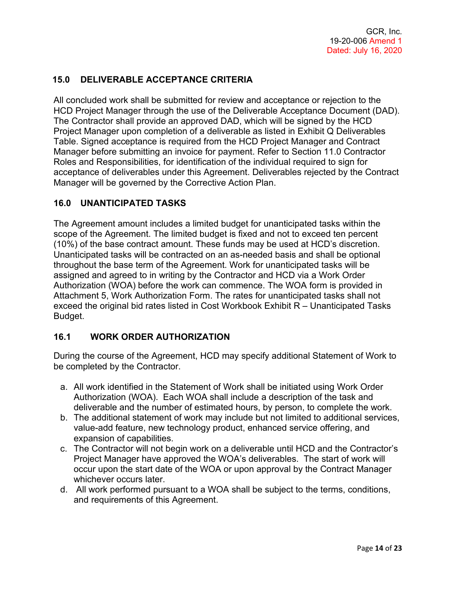## **15.0 DELIVERABLE ACCEPTANCE CRITERIA**

All concluded work shall be submitted for review and acceptance or rejection to the HCD Project Manager through the use of the Deliverable Acceptance Document (DAD). The Contractor shall provide an approved DAD, which will be signed by the HCD Project Manager upon completion of a deliverable as listed in Exhibit Q Deliverables Table. Signed acceptance is required from the HCD Project Manager and Contract Manager before submitting an invoice for payment. Refer to Section 11.0 Contractor Roles and Responsibilities, for identification of the individual required to sign for acceptance of deliverables under this Agreement. Deliverables rejected by the Contract Manager will be governed by the Corrective Action Plan.

## **16.0 UNANTICIPATED TASKS**

The Agreement amount includes a limited budget for unanticipated tasks within the scope of the Agreement. The limited budget is fixed and not to exceed ten percent (10%) of the base contract amount. These funds may be used at HCD's discretion. Unanticipated tasks will be contracted on an as-needed basis and shall be optional throughout the base term of the Agreement. Work for unanticipated tasks will be assigned and agreed to in writing by the Contractor and HCD via a Work Order Authorization (WOA) before the work can commence. The WOA form is provided in Attachment 5, Work Authorization Form. The rates for unanticipated tasks shall not exceed the original bid rates listed in Cost Workbook Exhibit R – Unanticipated Tasks Budget.

#### **16.1 WORK ORDER AUTHORIZATION**

During the course of the Agreement, HCD may specify additional Statement of Work to be completed by the Contractor.

- a. All work identified in the Statement of Work shall be initiated using Work Order Authorization (WOA). Each WOA shall include a description of the task and deliverable and the number of estimated hours, by person, to complete the work.
- b. The additional statement of work may include but not limited to additional services, value-add feature, new technology product, enhanced service offering, and expansion of capabilities.
- c. The Contractor will not begin work on a deliverable until HCD and the Contractor's Project Manager have approved the WOA's deliverables. The start of work will occur upon the start date of the WOA or upon approval by the Contract Manager whichever occurs later.
- d. All work performed pursuant to a WOA shall be subject to the terms, conditions, and requirements of this Agreement.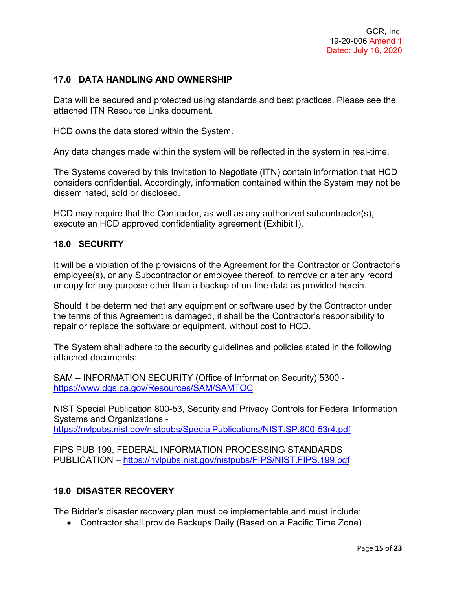## **17.0 DATA HANDLING AND OWNERSHIP**

Data will be secured and protected using standards and best practices. Please see the attached ITN Resource Links document.

HCD owns the data stored within the System.

Any data changes made within the system will be reflected in the system in real-time.

The Systems covered by this Invitation to Negotiate (ITN) contain information that HCD considers confidential. Accordingly, information contained within the System may not be disseminated, sold or disclosed.

HCD may require that the Contractor, as well as any authorized subcontractor(s), execute an HCD approved confidentiality agreement (Exhibit I).

#### **18.0 SECURITY**

It will be a violation of the provisions of the Agreement for the Contractor or Contractor's employee(s), or any Subcontractor or employee thereof, to remove or alter any record or copy for any purpose other than a backup of on-line data as provided herein.

Should it be determined that any equipment or software used by the Contractor under the terms of this Agreement is damaged, it shall be the Contractor's responsibility to repair or replace the software or equipment, without cost to HCD.

The System shall adhere to the security guidelines and policies stated in the following attached documents:

SAM – INFORMATION SECURITY (Office of Information Security) 5300 <https://www.dgs.ca.gov/Resources/SAM/SAMTOC>

NIST Special Publication 800-53, Security and Privacy Controls for Federal Information Systems and Organizations <https://nvlpubs.nist.gov/nistpubs/SpecialPublications/NIST.SP.800-53r4.pdf>

FIPS PUB 199, FEDERAL INFORMATION PROCESSING STANDARDS PUBLICATION – <https://nvlpubs.nist.gov/nistpubs/FIPS/NIST.FIPS.199.pdf>

#### **19.0 DISASTER RECOVERY**

The Bidder's disaster recovery plan must be implementable and must include:

• Contractor shall provide Backups Daily (Based on a Pacific Time Zone)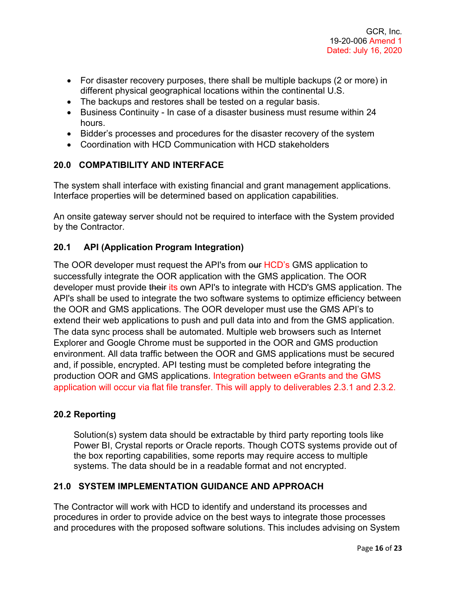- For disaster recovery purposes, there shall be multiple backups (2 or more) in different physical geographical locations within the continental U.S.
- The backups and restores shall be tested on a regular basis.
- Business Continuity In case of a disaster business must resume within 24 hours.
- Bidder's processes and procedures for the disaster recovery of the system
- Coordination with HCD Communication with HCD stakeholders

## **20.0 COMPATIBILITY AND INTERFACE**

The system shall interface with existing financial and grant management applications. Interface properties will be determined based on application capabilities.

An onsite gateway server should not be required to interface with the System provided by the Contractor.

## **20.1 API (Application Program Integration)**

The OOR developer must request the API's from our HCD's GMS application to successfully integrate the OOR application with the GMS application. The OOR developer must provide their its own API's to integrate with HCD's GMS application. The API's shall be used to integrate the two software systems to optimize efficiency between the OOR and GMS applications. The OOR developer must use the GMS API's to extend their web applications to push and pull data into and from the GMS application. The data sync process shall be automated. Multiple web browsers such as Internet Explorer and Google Chrome must be supported in the OOR and GMS production environment. All data traffic between the OOR and GMS applications must be secured and, if possible, encrypted. API testing must be completed before integrating the production OOR and GMS applications. Integration between eGrants and the GMS application will occur via flat file transfer. This will apply to deliverables 2.3.1 and 2.3.2.

#### **20.2 Reporting**

Solution(s) system data should be extractable by third party reporting tools like Power BI, Crystal reports or Oracle reports. Though COTS systems provide out of the box reporting capabilities, some reports may require access to multiple systems. The data should be in a readable format and not encrypted.

#### **21.0 SYSTEM IMPLEMENTATION GUIDANCE AND APPROACH**

The Contractor will work with HCD to identify and understand its processes and procedures in order to provide advice on the best ways to integrate those processes and procedures with the proposed software solutions. This includes advising on System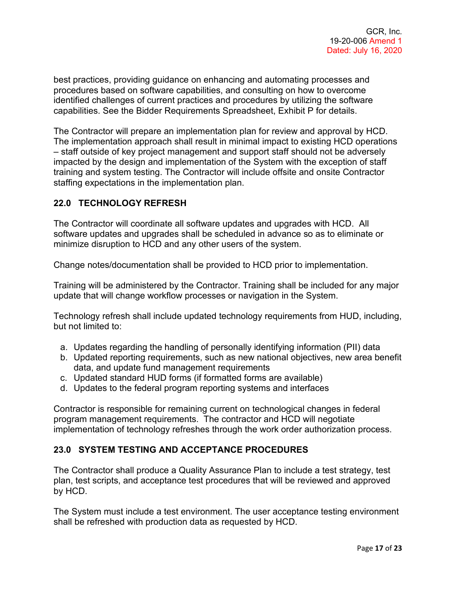best practices, providing guidance on enhancing and automating processes and procedures based on software capabilities, and consulting on how to overcome identified challenges of current practices and procedures by utilizing the software capabilities. See the Bidder Requirements Spreadsheet, Exhibit P for details.

The Contractor will prepare an implementation plan for review and approval by HCD. The implementation approach shall result in minimal impact to existing HCD operations – staff outside of key project management and support staff should not be adversely impacted by the design and implementation of the System with the exception of staff training and system testing. The Contractor will include offsite and onsite Contractor staffing expectations in the implementation plan.

#### **22.0 TECHNOLOGY REFRESH**

The Contractor will coordinate all software updates and upgrades with HCD. All software updates and upgrades shall be scheduled in advance so as to eliminate or minimize disruption to HCD and any other users of the system.

Change notes/documentation shall be provided to HCD prior to implementation.

Training will be administered by the Contractor. Training shall be included for any major update that will change workflow processes or navigation in the System.

Technology refresh shall include updated technology requirements from HUD, including, but not limited to:

- a. Updates regarding the handling of personally identifying information (PII) data
- b. Updated reporting requirements, such as new national objectives, new area benefit data, and update fund management requirements
- c. Updated standard HUD forms (if formatted forms are available)
- d. Updates to the federal program reporting systems and interfaces

Contractor is responsible for remaining current on technological changes in federal program management requirements. The contractor and HCD will negotiate implementation of technology refreshes through the work order authorization process.

## **23.0 SYSTEM TESTING AND ACCEPTANCE PROCEDURES**

The Contractor shall produce a Quality Assurance Plan to include a test strategy, test plan, test scripts, and acceptance test procedures that will be reviewed and approved by HCD.

The System must include a test environment. The user acceptance testing environment shall be refreshed with production data as requested by HCD.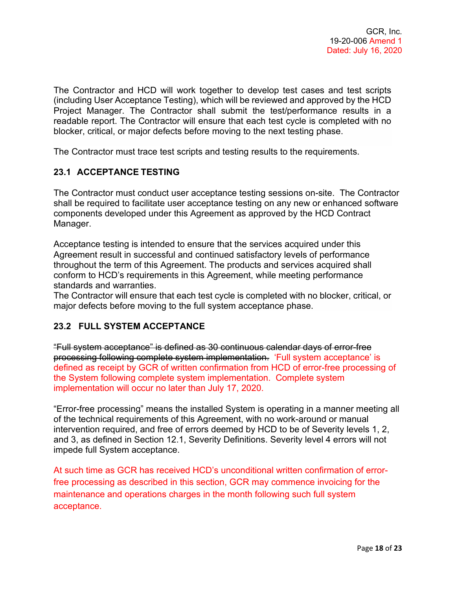The Contractor and HCD will work together to develop test cases and test scripts (including User Acceptance Testing), which will be reviewed and approved by the HCD Project Manager. The Contractor shall submit the test/performance results in a readable report. The Contractor will ensure that each test cycle is completed with no blocker, critical, or major defects before moving to the next testing phase.

The Contractor must trace test scripts and testing results to the requirements.

## **23.1 ACCEPTANCE TESTING**

The Contractor must conduct user acceptance testing sessions on-site. The Contractor shall be required to facilitate user acceptance testing on any new or enhanced software components developed under this Agreement as approved by the HCD Contract Manager.

Acceptance testing is intended to ensure that the services acquired under this Agreement result in successful and continued satisfactory levels of performance throughout the term of this Agreement. The products and services acquired shall conform to HCD's requirements in this Agreement, while meeting performance standards and warranties.

The Contractor will ensure that each test cycle is completed with no blocker, critical, or major defects before moving to the full system acceptance phase.

#### **23.2 FULL SYSTEM ACCEPTANCE**

"Full system acceptance" is defined as 30 continuous calendar days of error-free processing following complete system implementation. 'Full system acceptance' is defined as receipt by GCR of written confirmation from HCD of error-free processing of the System following complete system implementation. Complete system implementation will occur no later than July 17, 2020.

"Error-free processing" means the installed System is operating in a manner meeting all of the technical requirements of this Agreement, with no work-around or manual intervention required, and free of errors deemed by HCD to be of Severity levels 1, 2, and 3, as defined in Section 12.1, Severity Definitions. Severity level 4 errors will not impede full System acceptance.

At such time as GCR has received HCD's unconditional written confirmation of errorfree processing as described in this section, GCR may commence invoicing for the maintenance and operations charges in the month following such full system acceptance.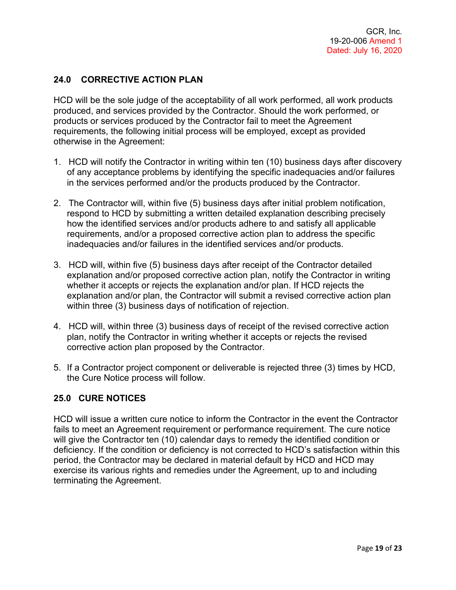## **24.0 CORRECTIVE ACTION PLAN**

HCD will be the sole judge of the acceptability of all work performed, all work products produced, and services provided by the Contractor. Should the work performed, or products or services produced by the Contractor fail to meet the Agreement requirements, the following initial process will be employed, except as provided otherwise in the Agreement:

- 1. HCD will notify the Contractor in writing within ten (10) business days after discovery of any acceptance problems by identifying the specific inadequacies and/or failures in the services performed and/or the products produced by the Contractor.
- 2. The Contractor will, within five (5) business days after initial problem notification, respond to HCD by submitting a written detailed explanation describing precisely how the identified services and/or products adhere to and satisfy all applicable requirements, and/or a proposed corrective action plan to address the specific inadequacies and/or failures in the identified services and/or products.
- 3. HCD will, within five (5) business days after receipt of the Contractor detailed explanation and/or proposed corrective action plan, notify the Contractor in writing whether it accepts or rejects the explanation and/or plan. If HCD rejects the explanation and/or plan, the Contractor will submit a revised corrective action plan within three (3) business days of notification of rejection.
- 4. HCD will, within three (3) business days of receipt of the revised corrective action plan, notify the Contractor in writing whether it accepts or rejects the revised corrective action plan proposed by the Contractor.
- 5. If a Contractor project component or deliverable is rejected three (3) times by HCD, the Cure Notice process will follow.

#### **25.0 CURE NOTICES**

HCD will issue a written cure notice to inform the Contractor in the event the Contractor fails to meet an Agreement requirement or performance requirement. The cure notice will give the Contractor ten (10) calendar days to remedy the identified condition or deficiency. If the condition or deficiency is not corrected to HCD's satisfaction within this period, the Contractor may be declared in material default by HCD and HCD may exercise its various rights and remedies under the Agreement, up to and including terminating the Agreement.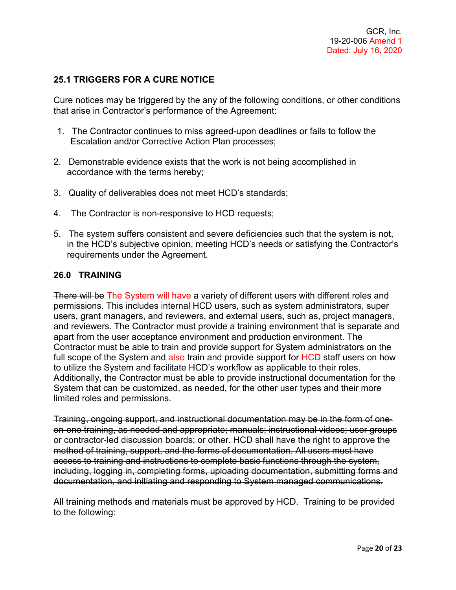## **25.1 TRIGGERS FOR A CURE NOTICE**

Cure notices may be triggered by the any of the following conditions, or other conditions that arise in Contractor's performance of the Agreement:

- 1. The Contractor continues to miss agreed-upon deadlines or fails to follow the Escalation and/or Corrective Action Plan processes;
- 2. Demonstrable evidence exists that the work is not being accomplished in accordance with the terms hereby;
- 3. Quality of deliverables does not meet HCD's standards;
- 4. The Contractor is non-responsive to HCD requests;
- 5. The system suffers consistent and severe deficiencies such that the system is not, in the HCD's subjective opinion, meeting HCD's needs or satisfying the Contractor's requirements under the Agreement.

#### **26.0 TRAINING**

There will be The System will have a variety of different users with different roles and permissions. This includes internal HCD users, such as system administrators, super users, grant managers, and reviewers, and external users, such as, project managers, and reviewers. The Contractor must provide a training environment that is separate and apart from the user acceptance environment and production environment. The Contractor must be able to train and provide support for System administrators on the full scope of the System and also train and provide support for HCD staff users on how to utilize the System and facilitate HCD's workflow as applicable to their roles. Additionally, the Contractor must be able to provide instructional documentation for the System that can be customized, as needed, for the other user types and their more limited roles and permissions.

Training, ongoing support, and instructional documentation may be in the form of one‐ on‐one training, as needed and appropriate; manuals; instructional videos; user groups or contractor‐led discussion boards; or other. HCD shall have the right to approve the method of training, support, and the forms of documentation. All users must have access to training and instructions to complete basic functions through the system, including, logging in, completing forms, uploading documentation, submitting forms and documentation, and initiating and responding to System managed communications.

All training methods and materials must be approved by HCD. Training to be provided to the following: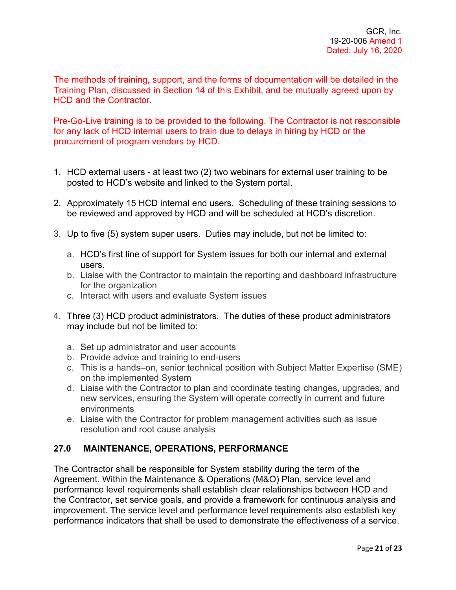The methods of training, support, and the forms of documentation will be detailed in the Training Plan, discussed in Section 14 of this Exhibit, and be mutually agreed upon by HCD and the Contractor.

Pre-Go-Live training is to be provided to the following. The Contractor is not responsible for any lack of HCD internal users to train due to delays in hiring by HCD or the procurement of program vendors by HCD.

- 1. HCD external users at least two (2) two webinars for external user training to be posted to HCD's website and linked to the System portal.
- 2. Approximately 15 HCD internal end users. Scheduling of these training sessions to be reviewed and approved by HCD and will be scheduled at HCD's discretion.
- 3. Up to five (5) system super users. Duties may include, but not be limited to:
	- a. HCD's first line of support for System issues for both our internal and external users.
	- b. Liaise with the Contractor to maintain the reporting and dashboard infrastructure for the organization
	- c. Interact with users and evaluate System issues
- 4. Three (3) HCD product administrators. The duties of these product administrators may include but not be limited to:
	- a. Set up administrator and user accounts
	- b. Provide advice and training to end-users
	- c. This is a hands–on, senior technical position with Subject Matter Expertise (SME) on the implemented System
	- d. Liaise with the Contractor to plan and coordinate testing changes, upgrades, and new services, ensuring the System will operate correctly in current and future environments
	- e. Liaise with the Contractor for problem management activities such as issue resolution and root cause analysis

# **27.0 MAINTENANCE, OPERATIONS, PERFORMANCE**

The Contractor shall be responsible for System stability during the term of the Agreement. Within the Maintenance & Operations (M&O) Plan, service level and performance level requirements shall establish clear relationships between HCD and the Contractor, set service goals, and provide a framework for continuous analysis and improvement. The service level and performance level requirements also establish key performance indicators that shall be used to demonstrate the effectiveness of a service.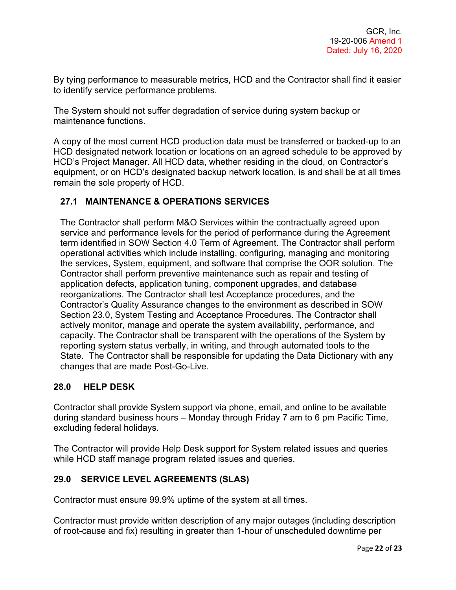By tying performance to measurable metrics, HCD and the Contractor shall find it easier to identify service performance problems.

The System should not suffer degradation of service during system backup or maintenance functions.

A copy of the most current HCD production data must be transferred or backed-up to an HCD designated network location or locations on an agreed schedule to be approved by HCD's Project Manager. All HCD data, whether residing in the cloud, on Contractor's equipment, or on HCD's designated backup network location, is and shall be at all times remain the sole property of HCD.

## **27.1 MAINTENANCE & OPERATIONS SERVICES**

The Contractor shall perform M&O Services within the contractually agreed upon service and performance levels for the period of performance during the Agreement term identified in SOW Section 4.0 Term of Agreement. The Contractor shall perform operational activities which include installing, configuring, managing and monitoring the services, System, equipment, and software that comprise the OOR solution. The Contractor shall perform preventive maintenance such as repair and testing of application defects, application tuning, component upgrades, and database reorganizations. The Contractor shall test Acceptance procedures, and the Contractor's Quality Assurance changes to the environment as described in SOW Section 23.0, System Testing and Acceptance Procedures. The Contractor shall actively monitor, manage and operate the system availability, performance, and capacity. The Contractor shall be transparent with the operations of the System by reporting system status verbally, in writing, and through automated tools to the State. The Contractor shall be responsible for updating the Data Dictionary with any changes that are made Post-Go-Live.

#### **28.0 HELP DESK**

Contractor shall provide System support via phone, email, and online to be available during standard business hours – Monday through Friday 7 am to 6 pm Pacific Time, excluding federal holidays.

The Contractor will provide Help Desk support for System related issues and queries while HCD staff manage program related issues and queries.

#### **29.0 SERVICE LEVEL AGREEMENTS (SLAS)**

Contractor must ensure 99.9% uptime of the system at all times.

Contractor must provide written description of any major outages (including description of root-cause and fix) resulting in greater than 1-hour of unscheduled downtime per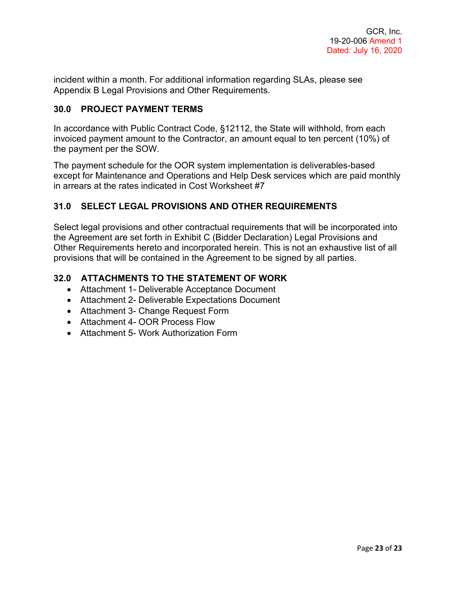incident within a month. For additional information regarding SLAs, please see Appendix B Legal Provisions and Other Requirements.

#### **30.0 PROJECT PAYMENT TERMS**

In accordance with Public Contract Code, §12112, the State will withhold, from each invoiced payment amount to the Contractor, an amount equal to ten percent (10%) of the payment per the SOW.

The payment schedule for the OOR system implementation is deliverables-based except for Maintenance and Operations and Help Desk services which are paid monthly in arrears at the rates indicated in Cost Worksheet #7

## **31.0 SELECT LEGAL PROVISIONS AND OTHER REQUIREMENTS**

Select legal provisions and other contractual requirements that will be incorporated into the Agreement are set forth in Exhibit C (Bidder Declaration) Legal Provisions and Other Requirements hereto and incorporated herein. This is not an exhaustive list of all provisions that will be contained in the Agreement to be signed by all parties.

## **32.0 ATTACHMENTS TO THE STATEMENT OF WORK**

- Attachment 1- Deliverable Acceptance Document
- Attachment 2- Deliverable Expectations Document
- Attachment 3- Change Request Form
- Attachment 4- OOR Process Flow
- Attachment 5- Work Authorization Form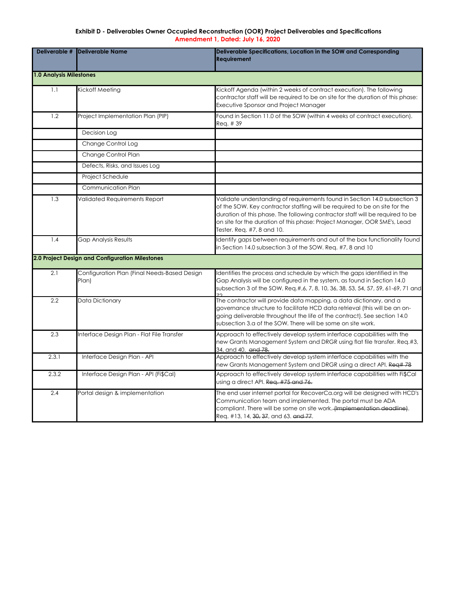## **Exhibit D - Deliverables Owner Occupied Reconstruction (OOR) Project Deliverables and Specifications Amendment 1, Dated: July 16, 2020**

| Deliverable #                  | <b>Deliverable Name</b>                               | Deliverable Specifications, Location in the SOW and Corresponding<br><b>Requirement</b>                                                                                                                                                                                                                                                            |
|--------------------------------|-------------------------------------------------------|----------------------------------------------------------------------------------------------------------------------------------------------------------------------------------------------------------------------------------------------------------------------------------------------------------------------------------------------------|
| <b>1.0 Analysis Milestones</b> |                                                       |                                                                                                                                                                                                                                                                                                                                                    |
| 1.1                            | Kickoff Meeting                                       | Kickoff Agenda (within 2 weeks of contract execution). The following<br>contractor staff will be required to be on site for the duration of this phase:<br>Executive Sponsor and Project Manager                                                                                                                                                   |
| 1.2                            | Project Implementation Plan (PIP)                     | Found in Section 11.0 of the SOW (within 4 weeks of contract execution).<br>Req. # 39                                                                                                                                                                                                                                                              |
|                                | Decision Log                                          |                                                                                                                                                                                                                                                                                                                                                    |
|                                | Change Control Log                                    |                                                                                                                                                                                                                                                                                                                                                    |
|                                | Change Control Plan                                   |                                                                                                                                                                                                                                                                                                                                                    |
|                                | Defects, Risks, and Issues Log                        |                                                                                                                                                                                                                                                                                                                                                    |
|                                | Project Schedule                                      |                                                                                                                                                                                                                                                                                                                                                    |
|                                | <b>Communication Plan</b>                             |                                                                                                                                                                                                                                                                                                                                                    |
| 1.3                            | Validated Requirements Report                         | Validate understanding of requirements found in Section 14.0 subsection 3<br>of the SOW. Key contractor staffing will be required to be on site for the<br>duration of this phase. The following contractor staff will be required to be<br>on site for the duration of this phase: Project Manager, OOR SME's, Lead<br>Tester. Req. #7, 8 and 10. |
| 1.4                            | <b>Gap Analysis Results</b>                           | Identify gaps between requirements and out of the box functionality found<br>in Section 14.0 subsection 3 of the SOW. Req. #7, 8 and 10                                                                                                                                                                                                            |
|                                | 2.0 Project Design and Configuration Milestones       |                                                                                                                                                                                                                                                                                                                                                    |
| 2.1                            | Configuration Plan (Final Needs-Based Design<br>Plan) | Identifies the process and schedule by which the gaps identified in the<br>Gap Analysis will be configured in the system, as found in Section 14.0<br>subsection 3 of the SOW. Req.#,6, 7, 8, 10, 36, 38, 53, 54, 57, 59, 61-69, 71 and<br>フつ                                                                                                      |
| 2.2                            | Data Dictionary                                       | The contractor will provide data mapping, a data dictionary, and a<br>governance structure to facilitate HCD data retrieval (this will be an on-<br>going deliverable throughout the life of the contract). See section 14.0<br>subsection 3.a of the SOW. There will be some on site work.                                                        |
| 2.3                            | Interface Design Plan - Flat File Transfer            | Approach to effectively develop system interface capabilities with the<br>new Grants Management System and DRGR using flat file transfer. Req.#3,<br>34, and 40. and 78.                                                                                                                                                                           |
| 2.3.1                          | Interface Design Plan - API                           | Approach to effectively develop system interface capabilities with the<br>new Grants Management System and DRGR using a direct API. Req#78                                                                                                                                                                                                         |
| 2.3.2                          | Interface Design Plan - API (Fi\$Cal)                 | Approach to effectively develop system interface capabilities with Fi\$Cal<br>using a direct API. Reg. #75 and 76.                                                                                                                                                                                                                                 |
| 2.4                            | Portal design & implementation                        | The end user internet portal for RecoverCa.org will be designed with HCD's<br>Communication team and implemented. The portal must be ADA<br>compliant. There will be some on site work. (Implementation deadline).<br>Req. #13, 14, 30, 37, and 63. and 77.                                                                                        |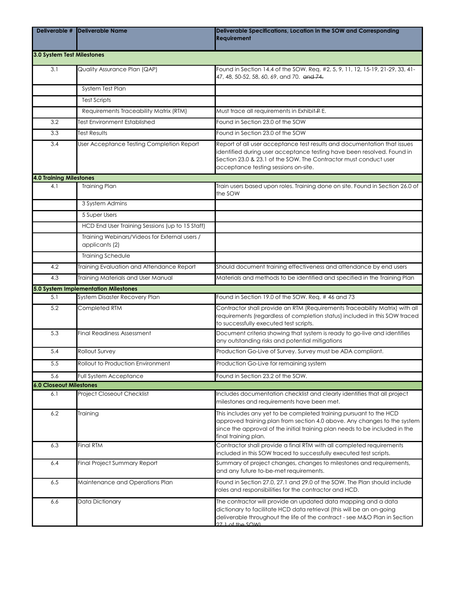| Deliverable #                  | Deliverable Name                                                | Deliverable Specifications, Location in the SOW and Corresponding<br><b>Requirement</b>                                                                                                                                                                        |  |  |  |
|--------------------------------|-----------------------------------------------------------------|----------------------------------------------------------------------------------------------------------------------------------------------------------------------------------------------------------------------------------------------------------------|--|--|--|
|                                | 3.0 System Test Milestones                                      |                                                                                                                                                                                                                                                                |  |  |  |
| 3.1                            | Quality Assurance Plan (QAP)                                    | Found in Section 14.4 of the SOW. Req. #2, 5, 9, 11, 12, 15-19, 21-29, 33, 41-<br>47, 48, 50-52, 58, 60, 69, and 70. and 74.                                                                                                                                   |  |  |  |
|                                | System Test Plan                                                |                                                                                                                                                                                                                                                                |  |  |  |
|                                | <b>Test Scripts</b>                                             |                                                                                                                                                                                                                                                                |  |  |  |
|                                | Requirements Traceability Matrix (RTM)                          | Must trace all requirements in Exhibit-P E.                                                                                                                                                                                                                    |  |  |  |
| 3.2                            | <b>Test Environment Established</b>                             | Found in Section 23.0 of the SOW                                                                                                                                                                                                                               |  |  |  |
| 3.3                            | <b>Test Results</b>                                             | Found in Section 23.0 of the SOW                                                                                                                                                                                                                               |  |  |  |
| 3.4                            | User Acceptance Testing Completion Report                       | Report of all user acceptance test results and documentation that issues<br>identified during user acceptance testing have been resolved. Found in<br>Section 23.0 & 23.1 of the SOW. The Contractor must conduct user<br>acceptance testing sessions on-site. |  |  |  |
| <b>4.0 Training Milestones</b> |                                                                 |                                                                                                                                                                                                                                                                |  |  |  |
| 4.1                            | <b>Training Plan</b>                                            | Train users based upon roles. Training done on site. Found in Section 26.0 of<br>the SOW                                                                                                                                                                       |  |  |  |
|                                | 3 System Admins                                                 |                                                                                                                                                                                                                                                                |  |  |  |
|                                | 5 Super Users                                                   |                                                                                                                                                                                                                                                                |  |  |  |
|                                | HCD End User Training Sessions (up to 15 Staff)                 |                                                                                                                                                                                                                                                                |  |  |  |
|                                | Training Webinars/Videos for External users /<br>applicants (2) |                                                                                                                                                                                                                                                                |  |  |  |
|                                | Training Schedule                                               |                                                                                                                                                                                                                                                                |  |  |  |
| 4.2                            | Training Evaluation and Attendance Report                       | Should document training effectiveness and attendance by end users                                                                                                                                                                                             |  |  |  |
| 4.3                            | Training Materials and User Manual                              | Materials and methods to be identitied and specified in the Training Plan                                                                                                                                                                                      |  |  |  |
|                                | 5.0 System Implementation Milestones                            |                                                                                                                                                                                                                                                                |  |  |  |
| 5.1                            | System Disaster Recovery Plan                                   | Found in Section 19.0 of the SOW. Reg. #46 and 73                                                                                                                                                                                                              |  |  |  |
| 5.2                            | Completed RTM                                                   | Contractor shall provide an RTM (Requirements Traceability Matrix) with all<br>requirements (regardless of completion status) included in this SOW traced<br>to successfully executed test scripts.                                                            |  |  |  |
| 5.3                            | <b>Final Readiness Assessment</b>                               | Document criteria showing that system is ready to go-live and identifies<br>any outstanding risks and potential mitigations                                                                                                                                    |  |  |  |
| 5.4                            | Rollout Survey                                                  | Production Go-Live of Survey. Survey must be ADA compliant.                                                                                                                                                                                                    |  |  |  |
| 5.5                            | Rollout to Production Environment                               | Production Go-Live for remaining system                                                                                                                                                                                                                        |  |  |  |
| 5.6                            | Full System Acceptance                                          | Found in Section 23.2 of the SOW.                                                                                                                                                                                                                              |  |  |  |
| <b>6.0 Closeout Milestones</b> |                                                                 |                                                                                                                                                                                                                                                                |  |  |  |
| 6.1                            | <b>Project Closeout Checklist</b>                               | Includes documentation checklist and clearly identifies that all project<br>milestones and requirements have been met.                                                                                                                                         |  |  |  |
| 6.2                            | Training                                                        | This includes any yet to be completed training pursuant to the HCD<br>approved training plan from section 4.0 above. Any changes to the system<br>since the approval of the initial training plan needs to be included in the<br>final training plan.          |  |  |  |
| 6.3                            | <b>Final RTM</b>                                                | Contractor shall provide a final RTM with all completed requirements<br>included in this SOW traced to successfully executed test scripts.                                                                                                                     |  |  |  |
| 6.4                            | Final Project Summary Report                                    | Summary of project changes, changes to milestones and requirements,<br>and any future to-be-met requirements.                                                                                                                                                  |  |  |  |
| 6.5                            | Maintenance and Operations Plan                                 | Found in Section 27.0, 27.1 and 29.0 of the SOW. The Plan should include<br>roles and responsibilities for the contractor and HCD.                                                                                                                             |  |  |  |
| 6.6                            | Data Dictionary                                                 | The contractor will provide an updated data mapping and a data<br>dictionary to facilitate HCD data retrieval (this will be an on-going<br>deliverable throughout the life of the contract - see M&O Plan in Section<br>$271$ of the SOWI                      |  |  |  |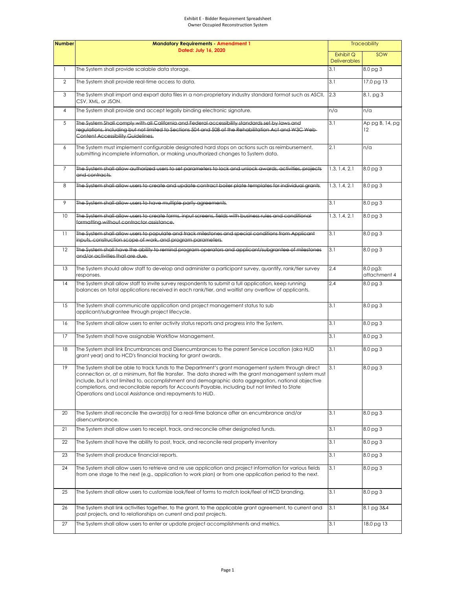| <b>Number</b>  | <b>Mandatory Requirements - Amendment 1</b><br>Dated: July 16, 2020                                                                                                                                                                                                                                                                                                                                                                                                             |                                  | <b>Traceability</b>      |  |
|----------------|---------------------------------------------------------------------------------------------------------------------------------------------------------------------------------------------------------------------------------------------------------------------------------------------------------------------------------------------------------------------------------------------------------------------------------------------------------------------------------|----------------------------------|--------------------------|--|
|                |                                                                                                                                                                                                                                                                                                                                                                                                                                                                                 | Exhibit Q<br><b>Deliverables</b> | SOW                      |  |
|                | The System shall provide scalable data storage.                                                                                                                                                                                                                                                                                                                                                                                                                                 | 3.1                              | 8.0 pg 3                 |  |
| $\overline{2}$ | The System shall provide real-time access to data.                                                                                                                                                                                                                                                                                                                                                                                                                              | 3.1                              | 17.0 pg 13               |  |
| 3              | The System shall import and export data files in a non-proprietary industry standard format such as ASCII,<br>CSV, XML, or JSON.                                                                                                                                                                                                                                                                                                                                                | 2.3                              | $8.1$ , pg $3$           |  |
| $\overline{4}$ | The System shall provide and accept legally binding electronic signature.                                                                                                                                                                                                                                                                                                                                                                                                       | n/a                              | n/a                      |  |
| 5              | The System Shall comply with all California and Federal accessibility standards set by laws and<br>regulations, including but not limited to Sections 504 and 508 of the Rehabilitation Act and W3C Web-<br><b>Content Accessibility Guidelines.</b>                                                                                                                                                                                                                            | 3.1                              | Ap pg B, 14, pg<br>12    |  |
| 6              | The System must implement configurable designated hard stops on actions such as reimbursement,<br>submitting incomplete information, or making unauthorized changes to System data.                                                                                                                                                                                                                                                                                             | 2.1                              | n/a                      |  |
| $\overline{7}$ | The System shall allow authorized users to set parameters to lock and unlock awards, activities, projects<br>and contracts.                                                                                                                                                                                                                                                                                                                                                     | 1.3, 1.4, 2.1                    | 8.0 pg 3                 |  |
| 8              | The System shall allow users to create and update contract boiler plate templates for individual grants.                                                                                                                                                                                                                                                                                                                                                                        | 1.3, 1.4, 2.1                    | 8.0 pg 3                 |  |
| 9              | The System shall allow users to have multiple party agreements.                                                                                                                                                                                                                                                                                                                                                                                                                 | 3.1                              | 8.0 pg 3                 |  |
| 10             | The System shall allow users to create forms, input screens, fields with business rules and conditional<br>formatting without contractor assistance.                                                                                                                                                                                                                                                                                                                            | 1.3, 1.4, 2.1                    | 8.0 pg 3                 |  |
| 11             | The System shall allow users to populate and track milestones and special conditions from Applicant<br>inputs, construction scope of work, and program parameters.                                                                                                                                                                                                                                                                                                              | 3.1                              | 8.0 pg 3                 |  |
| 12             | The System shall have the ability to remind program operators and applicant/subgrantee of milestones<br>and/or activities that are due.                                                                                                                                                                                                                                                                                                                                         | 3.1                              | 8.0 pg 3                 |  |
| 13             | The System should allow staff to develop and administer a participant survey, quantify, rank/tier survey<br>responses.                                                                                                                                                                                                                                                                                                                                                          | 2.4                              | 8.0 pg3;<br>attachment 4 |  |
| 14             | The System shall allow staff to invite survey respondents to submit a full application, keep running<br>balances on total applications received in each rank/tier, and waitlist any overflow of applicants.                                                                                                                                                                                                                                                                     | 2.4                              | 8.0 pg 3                 |  |
| 15             | The System shall communicate application and project management status to sub<br>applicant/subgrantee through project lifecycle.                                                                                                                                                                                                                                                                                                                                                | 3.1                              | 8.0 pg 3                 |  |
| 16             | The System shall allow users to enter activity status reports and progress into the System.                                                                                                                                                                                                                                                                                                                                                                                     | 3.1                              | 8.0 pg 3                 |  |
| 17             | The System shall have assignable Workflow Management.                                                                                                                                                                                                                                                                                                                                                                                                                           | 3.1                              | 8.0 pg 3                 |  |
| 18             | The System shall link Encumbrances and Disencumbrances to the parent Service Location (aka HUD<br>grant year) and to HCD's financial tracking for grant awards.                                                                                                                                                                                                                                                                                                                 | 3.1                              | 8.0 pg 3                 |  |
| 19             | The System shall be able to track funds to the Department's grant management system through direct<br>connection or, at a minimum, flat file transfer. The data shared with the grant management system must<br>include, but is not limited to, accomplishment and demographic data aggregation, national objective<br>completions, and reconcilable reports for Accounts Payable, including but not limited to State<br>Operations and Local Assistance and repayments to HUD. | 3.1                              | 8.0 pg 3                 |  |
| 20             | The System shall reconcile the award(s) for a real-time balance after an encumbrance and/or<br>disencumbrance.                                                                                                                                                                                                                                                                                                                                                                  | 3.1                              | 8.0 pg 3                 |  |
| 21             | The System shall allow users to receipt, track, and reconcile other designated funds.                                                                                                                                                                                                                                                                                                                                                                                           | 3.1                              | 8.0 pg 3                 |  |
| 22             | The System shall have the ability to post, track, and reconcile real property inventory                                                                                                                                                                                                                                                                                                                                                                                         | 3.1                              | 8.0 pg 3                 |  |
| 23             | The System shall produce financial reports.                                                                                                                                                                                                                                                                                                                                                                                                                                     | 3.1                              | 8.0 pg 3                 |  |
| 24             | The System shall allow users to retrieve and re use application and project information for various fields<br>from one stage to the next (e.g., application to work plan) or from one application period to the next.                                                                                                                                                                                                                                                           | 3.1                              | 8.0 pg 3                 |  |
| 25             | The System shall allow users to customize look/feel of forms to match look/feel of HCD branding.                                                                                                                                                                                                                                                                                                                                                                                | 3.1                              | 8.0 <sub>pg</sub> 3      |  |
| 26             | The System shall link activities together, to the grant, to the applicable grant agreement, to current and<br>past projects, and to relationships on current and past projects.                                                                                                                                                                                                                                                                                                 | 3.1                              | 8.1 pg 3&4               |  |
| 27             | The System shall allow users to enter or update project accomplishments and metrics.                                                                                                                                                                                                                                                                                                                                                                                            | 3.1                              | 18.0 pg 13               |  |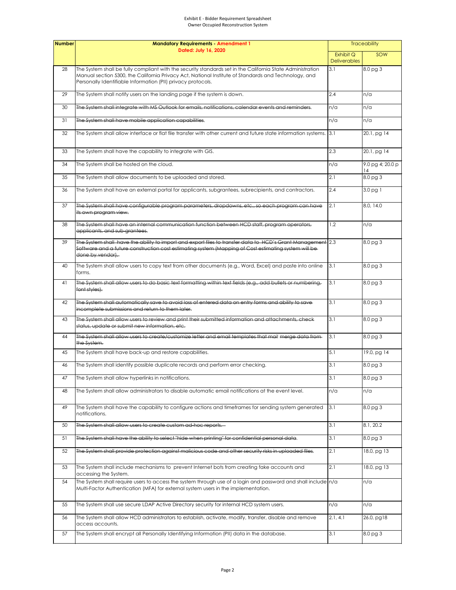#### Exhibit E - Bidder Requirement Spreadsheet Owner Occupied Reconstruction System

| <b>Number</b> | <b>Mandatory Requirements - Amendment 1</b><br>Dated: July 16, 2020                                                                                                                                                                                                                |          | <b>Traceability</b>       |  |
|---------------|------------------------------------------------------------------------------------------------------------------------------------------------------------------------------------------------------------------------------------------------------------------------------------|----------|---------------------------|--|
|               |                                                                                                                                                                                                                                                                                    |          | SOW                       |  |
| 28            | The System shall be fully compliant with the security standards set in the California State Administration<br>Manual section 5300, the California Privacy Act, National Institute of Standards and Technology, and<br>Personally Identifiable Information (PII) privacy protocols. | 3.1      | 8.0 pg 3                  |  |
| 29            | The System shall notify users on the landing page if the system is down.                                                                                                                                                                                                           | 2.4      | n/a                       |  |
| 30            | The System shall integrate with MS Outlook for emails, notifications, calendar events and reminders.                                                                                                                                                                               | n/a      | n/a                       |  |
| 31            | The System shall have mobile application capabilities.                                                                                                                                                                                                                             | n/a      | n/a                       |  |
| 32            | The System shall allow interface or flat file transfer with other current and future state information systems. 3.1                                                                                                                                                                |          | 20.1, pg 14               |  |
| 33            | The System shall have the capability to integrate with GIS.                                                                                                                                                                                                                        | 2.3      | 20.1, pg 14               |  |
| 34            | The System shall be hosted on the cloud.                                                                                                                                                                                                                                           | n/a      | $9.0$ pg 4; 20.0 p<br> 14 |  |
| 35            | The System shall allow documents to be uploaded and stored.                                                                                                                                                                                                                        | 2.1      | 8.0 <sub>pg</sub> 3       |  |
| 36            | The System shall have an external portal for applicants, subgrantees, subrecipients, and contractors.                                                                                                                                                                              | 2.4      | 3.0 pg 1                  |  |
| 37            | The System shall have configurable program parameters, dropdowns, etc., so each program can have<br>its own program view.                                                                                                                                                          | 2.1      | 8.0, 14.0                 |  |
| 38            | The System shall have an internal communication function between HCD staff, program operators,<br>applicants, and sub-grantees.                                                                                                                                                    | 1.2      | n/a                       |  |
| 39            | The System shall have the ability to import and export files to transfer data to HCD's Grant Management 2.3<br>Software and a future construction cost estimating system (Mapping of Cost estimating system will be<br>done by vendor).                                            |          | 8.0 <sub>pg</sub> 3       |  |
| 40            | The System shall allow users to copy text from other documents (e.g., Word, Excel) and paste into online<br>forms.                                                                                                                                                                 | 3.1      | 8.0 pg 3                  |  |
| 41            | The System shall allow users to do basic text formatting within text fields (e.g., add bullets or numbering,<br>font styles).                                                                                                                                                      | 3.1      | 8.0 pg 3                  |  |
| 42            | The System shall automatically save to avoid loss of entered data on entry forms and ability to save<br>incomplete submissions and return to them later.                                                                                                                           | 3.1      | 8.0 <sub>pg</sub> 3       |  |
| 43            | The System shall allow users to review and print their submitted information and attachments, check<br>status, update or submit new information, etc.                                                                                                                              | 3.1      | 8.0 pg 3                  |  |
| 44            | The System shall allow users to create/customize letter and email templates that mail merge data from-<br>the System.                                                                                                                                                              | 3.1      | 8.0 pg 3                  |  |
| 45            | The System shall have back-up and restore capabilities.                                                                                                                                                                                                                            | 5.1      | 19.0, pg 14               |  |
| 46            | The System shall identify possible duplicate records and perform error checking.                                                                                                                                                                                                   | 3.1      | 8.0 pg 3                  |  |
| 47            | The System shall allow hyperlinks in notifications.                                                                                                                                                                                                                                | 3.1      | 8.0 <sub>pg</sub> 3       |  |
| 48            | The System shall allow administrators to disable automatic email notifications at the event level.                                                                                                                                                                                 | n/a      | n/a                       |  |
| 49            | The System shall have the capability to configure actions and timeframes for sending system generated<br>notifications.                                                                                                                                                            | 3.1      | $8.0$ pg $3$              |  |
| 50            | The System shall allow users to create custom ad-hoc reports.                                                                                                                                                                                                                      | 3.1      | 8.1, 20.2                 |  |
| 51            | The System shall have the ability to select "hide when printing" for confidential personal data.                                                                                                                                                                                   | 3.1      | 8.0 pg 3                  |  |
| 52            | The System shall provide protection against malicious code and other security risks in uploaded files.                                                                                                                                                                             | 2.1      | 18.0, pg 13               |  |
| 53            | The System shall include mechanisms to prevent Internet bots from creating fake accounts and<br>accessing the System.                                                                                                                                                              | 2.1      | 18.0, pg 13               |  |
| 54            | The System shall require users to access the system through use of a login and password and shall include n/a<br>Multi-Factor Authentication (MFA) for external system users in the implementation.                                                                                |          | n/a                       |  |
| 55            | The System shall use secure LDAP Active Directory security for internal HCD system users.                                                                                                                                                                                          | n/a      | n/a                       |  |
| 56            | The System shall allow HCD administrators to establish, activate, modify, transfer, disable and remove<br>access accounts.                                                                                                                                                         | 2.1, 4.1 | 26.0, pg18                |  |
| 57            | The System shall encrypt all Personally Identifying Information (PII) data in the database.                                                                                                                                                                                        | 3.1      | 8.0 <sub>pg</sub> 3       |  |